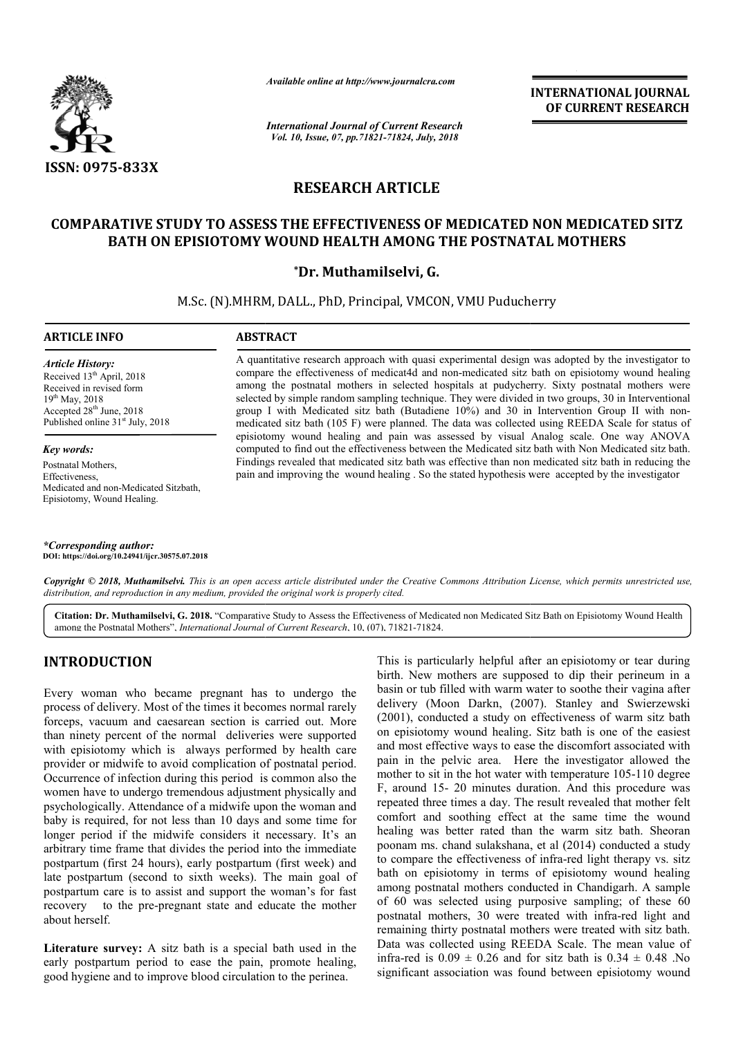

*Available online at http://www.journalcra.com*

*International Journal of Current Research Vol. 10, Issue, 07, pp.71821-71824, July, 2018*

**INTERNATIONAL JOURNAL OF CURRENT RESEARCH**

# **RESEARCH ARTICLE**

# **COMPARATIVE STUDY TO ASSESS THE EFFECTIVENESS OF MEDICATED NON MEDICATED SITZ LATIVE STUDY TO ASSESS THE EFFECTIVENESS OF MEDICATED NON MEDICAT**<br>BATH ON EPISIOTOMY WOUND HEALTH AMONG THE POSTNATAL MOTHERS

## **\*Dr. Muthamilselvi, G.**

M.Sc. (N).MHRM, DALL., PhD, Principal, VMCON, VMU Puducherry

#### **ARTICLE INFO ABSTRACT**

*Article History:* Received 13<sup>th</sup> April, 2018 Received in revised form 19<sup>th</sup> May, 2018 Accepted 28<sup>th</sup> June, 2018 Published online  $31<sup>st</sup>$  July, 2018

*Key words:* Postnatal Mothers, Effectiveness, Medicated and non-Medicated Sitzbath, Episiotomy, Wound Healing.

*\*Corresponding author:* **DOI: https://doi.org/10.24941/ijcr.30575.07.2018**

A quantitative research approach with quasi experimental design was adopted by the investigator to compare the effectiveness of medicat4d and non-medicated sitz bath on episiotomy wound healing A quantitative research approach with quasi experimental design was adopted by the investigator to compare the effectiveness of medicat4d and non-medicated sitz bath on episiotomy wound healing among the postnatal mothers selected by simple random sampling technique. They were divided in two groups, 30 in Interventional selected by simple random sampling technique. They were divided in two groups, 30 in Interventional group II with nonmedicated sitz bath (105 F) were planned. The data was collected using REEDA Scale for status of medicated sitz bath (105 F) were planned. The data was collected using REEDA Scale for status of episiotomy wound healing and pain was assessed by visual Analog scale. One way ANOVA computed to find out the effectiveness between the Medicated sitz bath with Non Medicated sitz bath. Findings revealed that medicated sitz bath was effective than non medicated sitz bath in reducing the computed to find out the effectiveness between the Medicated sitz bath with Non Medicated sitz bath<br>Findings revealed that medicated sitz bath was effective than non medicated sitz bath in reducing the<br>pain and improving t

Copyright © 2018, Muthamilselvi. This is an open access article distributed under the Creative Commons Attribution License, which permits unrestricted use, *distribution, and reproduction in any medium, provided the original work is properly cited.*

Citation: Dr. Muthamilselvi, G. 2018. "Comparative Study to Assess the Effectiveness of Medicated non Medicated Sitz Bath on Episiotomy Wound Health among the Postnatal Mothers", *International Journal of Current Research* , 10, (07), 71821-71824.

# **INTRODUCTION**

Every woman who became pregnant has to undergo the process of delivery. Most of the times it becomes normal rarely forceps, vacuum and caesarean section is carried out. More than ninety percent of the normal deliveries were supported with episiotomy which is always performed by health care provider or midwife to avoid complication of postnatal period. Occurrence of infection during this period is common also the women have to undergo tremendous adjustment physically and psychologically. Attendance of a midwife upon the woman and baby is required, for not less than 10 days and some time for longer period if the midwife considers it necessary. It's an arbitrary time frame that divides the period into the immediate postpartum (first 24 hours), early postpartum (first week) and late postpartum (second to sixth weeks). The main goal of postpartum care is to assist and support the woman's for fast recovery to the pre-pregnant state and educate the mother about herself. ttendance of a midwife upon the woman an<br>or not less than 10 days and some time fo<br>he midwife considers it necessary. It's a<br>lee that divides the period into the immediat<br>4 hours), early postpartum (first week) an<br>econd to

**Literature survey:** A sitz bath is a special bath used in the early postpartum period to ease the pain, promote healing, good hygiene and to improve blood circulation to the perinea

This is particularly helpful after an episiotomy or tear during birth. New mothers are supposed to dip their perineum in a birth. New mothers are supposed to dip their perineum in a basin or tub filled with warm water to soothe their vagina after delivery (Moon Darkn, (2007). Stanley and Swierzewski (2001), conducted a study on effectiveness of warm sitz bath on episiotomy wound healing. Sitz bath is one of the easiest and most effective ways to ease the discomfort associated with pain in the pelvic area. Here the investigator allowed the mother to sit in the hot water with temperature 105-110 degree F, around 15- 20 minutes duration. And this procedure was repeated three times a day. The result revealed that mother felt comfort and soothing effect at the same time the wound F, around 15- 20 minutes duration. And this procedure was repeated three times a day. The result revealed that mother felt comfort and soothing effect at the same time the wound healing was better rated than the warm sitz poonam ms. chand sulakshana, et al (2014) conducted a study to compare the effectiveness of infra-red light therapy vs. sitz bath on episiotomy in terms of episiotomy wound healing among postnatal mothers conducted in Chandigarh. A sample among postnatal mothers conducted in Chandigarh. A of 60 was selected using purposive sampling; of these 60 of 60 was selected using purposive sampling; of these 60 postnatal mothers, 30 were treated with infra-red light and remaining thirty postnatal mothers were treated with sitz bath. Data was collected using REEDA Scale. The mean value of infra-red is  $0.09 \pm 0.26$  and for sitz bath is  $0.34 \pm 0.48$  .No significant association was found between episiotomy wound ), conducted a study on effectiveness of warm sitz bath is<br>isotomy wound healing. Sitz bath is one of the easiest<br>nost effective ways to ease the discomfort associated with<br>in the pelvic area. Here the investigator allowed **EXERCT TOWAL FORT ANTIONAL JOURNAL CONTRENT ASSEEM CHEAT TO COURT CONTRENT TO A 1978 AND A 1979 CF CURRENT TRESEARCH (Sp. 2018) TO FAIR POSTIVATIAL MOTHERS G.<br>
CON, VMU Puducherry with site and the messing and the messing**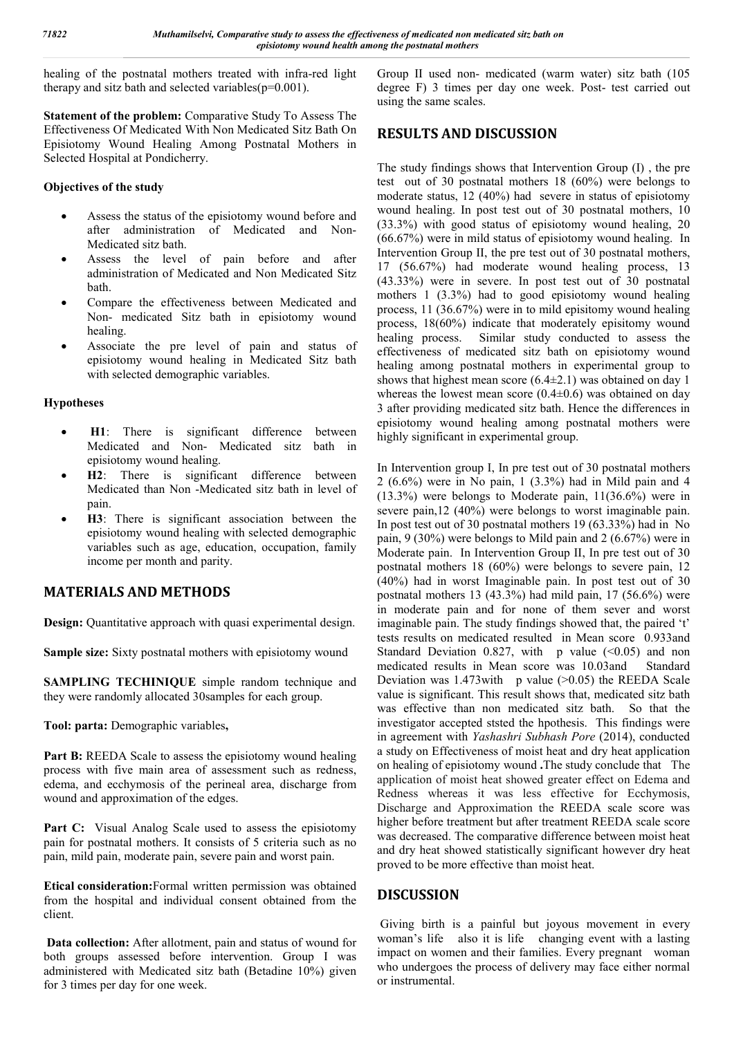healing of the postnatal mothers treated with infra-red light therapy and sitz bath and selected variables( $p=0.001$ ).

**Statement of the problem:** Comparative Study To Assess The Effectiveness Of Medicated With Non Medicated Sitz Bath On Episiotomy Wound Healing Among Postnatal Mothers in Selected Hospital at Pondicherry.

### **Objectives of the study**

- Assess the status of the episiotomy wound before and after administration of Medicated and Non-Medicated sitz bath.
- Assess the level of pain before and after administration of Medicated and Non Medicated Sitz bath.
- Compare the effectiveness between Medicated and Non- medicated Sitz bath in episiotomy wound healing.
- Associate the pre level of pain and status of episiotomy wound healing in Medicated Sitz bath with selected demographic variables.

## **Hypotheses**

- **H1**: There is significant difference between Medicated and Non- Medicated sitz bath in episiotomy wound healing.
- **H2**: There is significant difference between Medicated than Non -Medicated sitz bath in level of pain.
- **H3**: There is significant association between the episiotomy wound healing with selected demographic variables such as age, education, occupation, family income per month and parity.

# **MATERIALS AND METHODS**

**Design:** Quantitative approach with quasi experimental design.

**Sample size:** Sixty postnatal mothers with episiotomy wound

**SAMPLING TECHINIQUE** simple random technique and they were randomly allocated 30samples for each group.

**Tool: parta:** Demographic variables**,** 

Part B: REEDA Scale to assess the episiotomy wound healing process with five main area of assessment such as redness, edema, and ecchymosis of the perineal area, discharge from wound and approximation of the edges.

Part C: Visual Analog Scale used to assess the episiotomy pain for postnatal mothers. It consists of 5 criteria such as no pain, mild pain, moderate pain, severe pain and worst pain.

**Etical consideration:**Formal written permission was obtained from the hospital and individual consent obtained from the client.

**Data collection:** After allotment, pain and status of wound for both groups assessed before intervention. Group I was administered with Medicated sitz bath (Betadine 10%) given for 3 times per day for one week.

Group II used non- medicated (warm water) sitz bath (105 degree F) 3 times per day one week. Post- test carried out using the same scales.

# **RESULTS AND DISCUSSION**

The study findings shows that Intervention Group (I) , the pre test out of 30 postnatal mothers 18 (60%) were belongs to moderate status, 12 (40%) had severe in status of episiotomy wound healing. In post test out of 30 postnatal mothers, 10 (33.3%) with good status of episiotomy wound healing, 20 (66.67%) were in mild status of episiotomy wound healing. In Intervention Group II, the pre test out of 30 postnatal mothers, 17 (56.67%) had moderate wound healing process, 13 (43.33%) were in severe. In post test out of 30 postnatal mothers 1 (3.3%) had to good episiotomy wound healing process, 11 (36.67%) were in to mild episitomy wound healing process, 18(60%) indicate that moderately episitomy wound healing process. Similar study conducted to assess the effectiveness of medicated sitz bath on episiotomy wound healing among postnatal mothers in experimental group to shows that highest mean score (6.4±2.1) was obtained on day 1 whereas the lowest mean score  $(0.4\pm 0.6)$  was obtained on day 3 after providing medicated sitz bath. Hence the differences in episiotomy wound healing among postnatal mothers were highly significant in experimental group.

In Intervention group I, In pre test out of 30 postnatal mothers 2 (6.6%) were in No pain, 1 (3.3%) had in Mild pain and 4 (13.3%) were belongs to Moderate pain, 11(36.6%) were in severe pain,12 (40%) were belongs to worst imaginable pain. In post test out of 30 postnatal mothers 19 (63.33%) had in No pain, 9 (30%) were belongs to Mild pain and 2 (6.67%) were in Moderate pain. In Intervention Group II, In pre test out of 30 postnatal mothers 18 (60%) were belongs to severe pain, 12 (40%) had in worst Imaginable pain. In post test out of 30 postnatal mothers 13 (43.3%) had mild pain, 17 (56.6%) were in moderate pain and for none of them sever and worst imaginable pain. The study findings showed that, the paired 't' tests results on medicated resulted in Mean score 0.933and Standard Deviation 0.827, with p value  $($ <0.05 $)$  and non medicated results in Mean score was 10.03and Standard Deviation was  $1.473$  with p value ( $>0.05$ ) the REEDA Scale value is significant. This result shows that, medicated sitz bath was effective than non medicated sitz bath. So that the investigator accepted ststed the hpothesis. This findings were in agreement with *Yashashri Subhash Pore* (2014), conducted a study on Effectiveness of moist heat and dry heat application on healing of episiotomy wound **.**The study conclude that The application of moist heat showed greater effect on Edema and Redness whereas it was less effective for Ecchymosis, Discharge and Approximation the REEDA scale score was higher before treatment but after treatment REEDA scale score was decreased. The comparative difference between moist heat and dry heat showed statistically significant however dry heat proved to be more effective than moist heat.

# **DISCUSSION**

Giving birth is a painful but joyous movement in every woman's life also it is life changing event with a lasting impact on women and their families. Every pregnant woman who undergoes the process of delivery may face either normal or instrumental.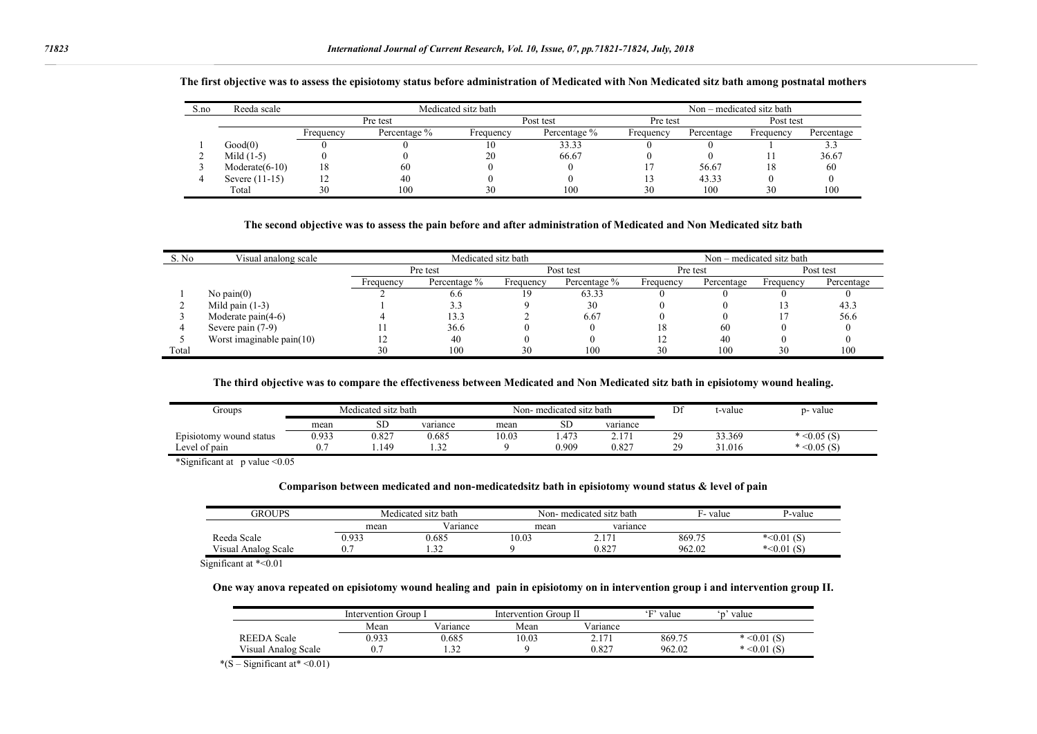| S.no | Reeda scale       | Medicated sitz bath |              |           |              |           | Non – medicated sitz bath |           |            |  |  |
|------|-------------------|---------------------|--------------|-----------|--------------|-----------|---------------------------|-----------|------------|--|--|
|      |                   | Pre test            |              |           | Post test    |           | Pre test                  |           | Post test  |  |  |
|      |                   | Frequency           | Percentage % | Frequency | Percentage % | Frequency | Percentage                | Frequency | Percentage |  |  |
|      | Good(0)           |                     |              | . 0       | 33.33        |           |                           |           |            |  |  |
|      | Mild $(1-5)$      |                     |              | 20        | 66.67        |           |                           |           | 36.67      |  |  |
|      | $Modernate(6-10)$ | 18                  | 60           |           |              |           | 56.67                     |           | 60         |  |  |
|      | Severe (11-15)    |                     | 40           |           |              |           | 43.33                     |           |            |  |  |
|      | Total             | 30                  | 100          | 30        | 100          | 30        | 100                       | 30        | 100        |  |  |

#### **The first objective was to assess the episiotomy status before administration of Medicated with Non Medicated sitz bath among postnatal mothers**

#### **The second objective was to assess the pain before and after administration of Medicated and Non Medicated sitz bath**

| S. No. | Visual analong scale         | Medicated sitz bath |              |           |              | Non – medicated sitz bath |            |           |            |  |
|--------|------------------------------|---------------------|--------------|-----------|--------------|---------------------------|------------|-----------|------------|--|
|        |                              | Pre test            |              | Post test |              | Pre test                  |            | Post test |            |  |
|        |                              | Frequency           | Percentage % | Frequency | Percentage % | Frequency                 | Percentage | Frequency | Percentage |  |
|        | No pain $(0)$                |                     | 6.6          | 19        | 63.33        |                           |            |           |            |  |
|        | Mild pain $(1-3)$            |                     | 3.3          |           | 30           |                           |            |           | 43.3       |  |
|        | Moderate $\text{pain}(4-6)$  |                     | 13.3         |           | 6.67         |                           |            |           | 56.6       |  |
|        | Severe pain (7-9)            |                     | 36.6         |           |              | 18                        | 60         |           |            |  |
|        | Worst imaginable pain $(10)$ |                     | 40           |           |              |                           | 40         |           |            |  |
| Total  |                              | 30                  | 100          | 30        | 100          | 30                        | 100        | 30        | 100        |  |

#### **The third objective was to compare the effectiveness between Medicated and Non Medicated sitz bath in episiotomy wound healing.**

| Groups                        | Medicated sitz bath |       |          | Non-medicated sitz bath |          |          | $\mathbf{r}$<br>Dt | t-value | p- value     |
|-------------------------------|---------------------|-------|----------|-------------------------|----------|----------|--------------------|---------|--------------|
|                               | mean                | SЕ    | variance | mean                    | αr<br>SD | variance |                    |         |              |
| Episiotomy wound:<br>l status | 0.933               | 0.827 | 0.685    | 10.03                   | .473     | 17       | $\sim$<br>-        | 33.369  | $< 0.05$ (S) |
| Level of pain                 | J.                  | 1.149 | $\sim$   |                         | 0.909    | 0.827    | 20<br><u>.</u>     | 31.016  | $< 0.05$ (S) |

\*Significant at p value <0.05

#### **Comparison between medicated and non-medicatedsitz bath in episiotomy wound status & level of pain**

| GROUPS              |       | Medicated sitz bath |       | Non- medicated sitz bath | F-value | P-value       |
|---------------------|-------|---------------------|-------|--------------------------|---------|---------------|
|                     | mean  | Variance            | mean  | variance                 |         |               |
| Reeda Scale         | 0.933 | 0.685               | 10.03 | $\sim$ .1                | 869.75  | *< $0.01$ (S) |
| Visual Analog Scale |       | $\sim$              |       | 0.827                    | 962.02  | *< $0.01$ (b. |

Significant at \*< 0.01

#### **One way anova repeated on episiotomy wound healing and pain in episiotomy on in intervention group i and intervention group II.**

|                     | Intervention Group I |                  | Intervention Group II |                 | $\sim$ T <sub>1</sub><br>value | value                     |
|---------------------|----------------------|------------------|-----------------------|-----------------|--------------------------------|---------------------------|
|                     | Mean                 | v v<br>V ariance | Mean                  | v v<br>Variance |                                |                           |
| REEDA<br>Scale      | 0.933                | 0.685            | 10.03                 | 171             | 869.75                         | $\leq 0.01$ (S)<br>$\ast$ |
| Visual Analog Scale | $\mathbf{v}$ .       | $\sim$           |                       | 0.827           | 962.02                         | $* < 0.01$ (S)            |

\* $(S -$ Significant at\* <0.01)